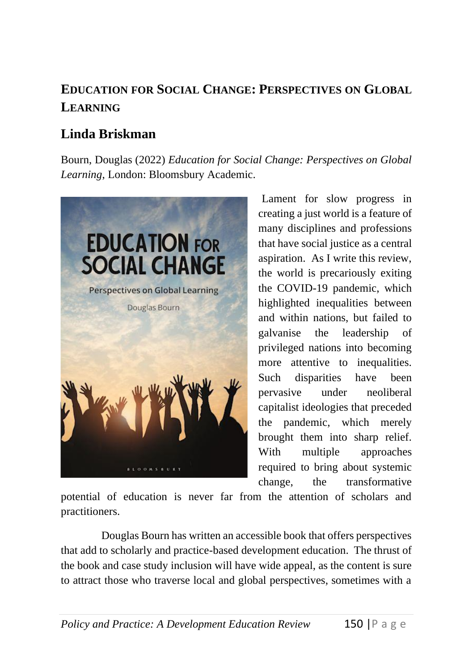## **EDUCATION FOR SOCIAL CHANGE: PERSPECTIVES ON GLOBAL LEARNING**

## **Linda Briskman**

Bourn, Douglas (2022) *Education for Social Change: Perspectives on Global Learning*, London: Bloomsbury Academic.



Lament for slow progress in creating a just world is a feature of many disciplines and professions that have social justice as a central aspiration. As I write this review, the world is precariously exiting the COVID-19 pandemic, which highlighted inequalities between and within nations, but failed to galvanise the leadership of privileged nations into becoming more attentive to inequalities. Such disparities have been pervasive under neoliberal capitalist ideologies that preceded the pandemic, which merely brought them into sharp relief. With multiple approaches required to bring about systemic change, the transformative

potential of education is never far from the attention of scholars and practitioners.

Douglas Bourn has written an accessible book that offers perspectives that add to scholarly and practice-based development education. The thrust of the book and case study inclusion will have wide appeal, as the content is sure to attract those who traverse local and global perspectives, sometimes with a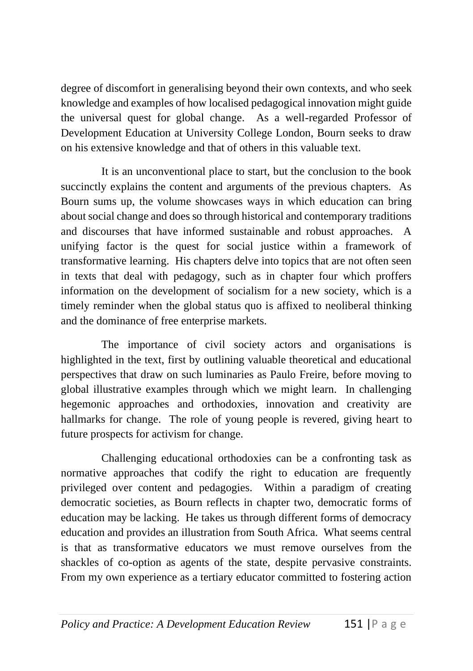degree of discomfort in generalising beyond their own contexts, and who seek knowledge and examples of how localised pedagogical innovation might guide the universal quest for global change. As a well-regarded Professor of Development Education at University College London, Bourn seeks to draw on his extensive knowledge and that of others in this valuable text.

It is an unconventional place to start, but the conclusion to the book succinctly explains the content and arguments of the previous chapters. As Bourn sums up, the volume showcases ways in which education can bring about social change and does so through historical and contemporary traditions and discourses that have informed sustainable and robust approaches. A unifying factor is the quest for social justice within a framework of transformative learning. His chapters delve into topics that are not often seen in texts that deal with pedagogy, such as in chapter four which proffers information on the development of socialism for a new society, which is a timely reminder when the global status quo is affixed to neoliberal thinking and the dominance of free enterprise markets.

The importance of civil society actors and organisations is highlighted in the text, first by outlining valuable theoretical and educational perspectives that draw on such luminaries as Paulo Freire, before moving to global illustrative examples through which we might learn. In challenging hegemonic approaches and orthodoxies, innovation and creativity are hallmarks for change. The role of young people is revered, giving heart to future prospects for activism for change.

Challenging educational orthodoxies can be a confronting task as normative approaches that codify the right to education are frequently privileged over content and pedagogies. Within a paradigm of creating democratic societies, as Bourn reflects in chapter two, democratic forms of education may be lacking. He takes us through different forms of democracy education and provides an illustration from South Africa. What seems central is that as transformative educators we must remove ourselves from the shackles of co-option as agents of the state, despite pervasive constraints. From my own experience as a tertiary educator committed to fostering action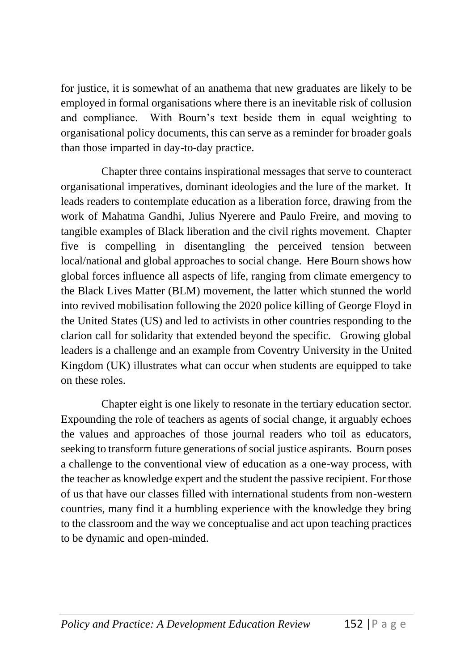for justice, it is somewhat of an anathema that new graduates are likely to be employed in formal organisations where there is an inevitable risk of collusion and compliance. With Bourn's text beside them in equal weighting to organisational policy documents, this can serve as a reminder for broader goals than those imparted in day-to-day practice.

Chapter three contains inspirational messages that serve to counteract organisational imperatives, dominant ideologies and the lure of the market. It leads readers to contemplate education as a liberation force, drawing from the work of Mahatma Gandhi, Julius Nyerere and Paulo Freire, and moving to tangible examples of Black liberation and the civil rights movement. Chapter five is compelling in disentangling the perceived tension between local/national and global approaches to social change. Here Bourn shows how global forces influence all aspects of life, ranging from climate emergency to the Black Lives Matter (BLM) movement, the latter which stunned the world into revived mobilisation following the 2020 police killing of George Floyd in the United States (US) and led to activists in other countries responding to the clarion call for solidarity that extended beyond the specific. Growing global leaders is a challenge and an example from Coventry University in the United Kingdom (UK) illustrates what can occur when students are equipped to take on these roles.

Chapter eight is one likely to resonate in the tertiary education sector. Expounding the role of teachers as agents of social change, it arguably echoes the values and approaches of those journal readers who toil as educators, seeking to transform future generations of social justice aspirants. Bourn poses a challenge to the conventional view of education as a one-way process, with the teacher as knowledge expert and the student the passive recipient. For those of us that have our classes filled with international students from non-western countries, many find it a humbling experience with the knowledge they bring to the classroom and the way we conceptualise and act upon teaching practices to be dynamic and open-minded.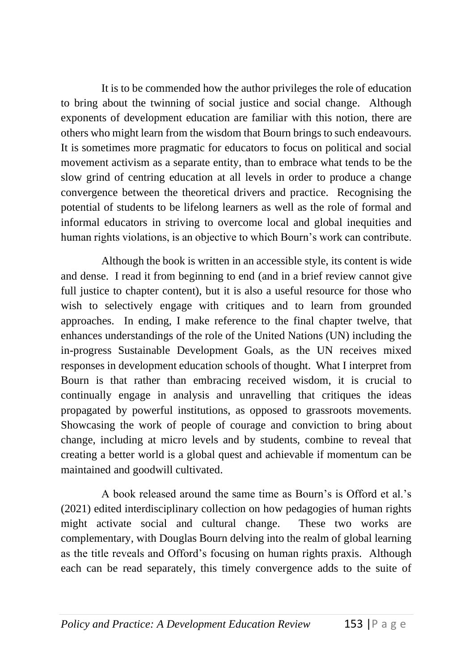It is to be commended how the author privileges the role of education to bring about the twinning of social justice and social change. Although exponents of development education are familiar with this notion, there are others who might learn from the wisdom that Bourn brings to such endeavours. It is sometimes more pragmatic for educators to focus on political and social movement activism as a separate entity, than to embrace what tends to be the slow grind of centring education at all levels in order to produce a change convergence between the theoretical drivers and practice. Recognising the potential of students to be lifelong learners as well as the role of formal and informal educators in striving to overcome local and global inequities and human rights violations, is an objective to which Bourn's work can contribute.

Although the book is written in an accessible style, its content is wide and dense. I read it from beginning to end (and in a brief review cannot give full justice to chapter content), but it is also a useful resource for those who wish to selectively engage with critiques and to learn from grounded approaches. In ending, I make reference to the final chapter twelve, that enhances understandings of the role of the United Nations (UN) including the in-progress Sustainable Development Goals, as the UN receives mixed responses in development education schools of thought. What I interpret from Bourn is that rather than embracing received wisdom, it is crucial to continually engage in analysis and unravelling that critiques the ideas propagated by powerful institutions, as opposed to grassroots movements. Showcasing the work of people of courage and conviction to bring about change, including at micro levels and by students, combine to reveal that creating a better world is a global quest and achievable if momentum can be maintained and goodwill cultivated.

A book released around the same time as Bourn's is Offord et al.'s (2021) edited interdisciplinary collection on how pedagogies of human rights might activate social and cultural change. These two works are complementary, with Douglas Bourn delving into the realm of global learning as the title reveals and Offord's focusing on human rights praxis. Although each can be read separately, this timely convergence adds to the suite of